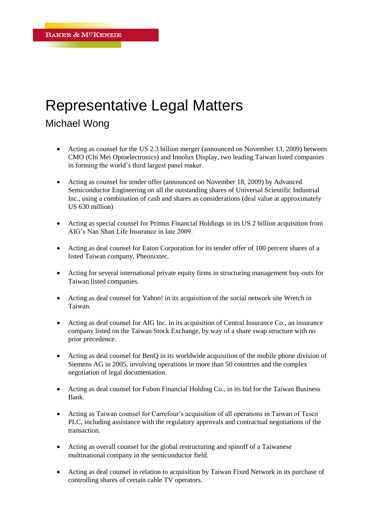## Representative Legal Matters

## Michael Wong

- Acting as counsel for the US 2.3 billion merger (announced on November 13, 2009) between CMO (Chi Mei Optoelectronics) and Innolux Display, two leading Taiwan listed companies in forming the world's third largest panel maker.
- Acting as counsel for tender offer (announced on November 18, 2009) by Advanced Semiconductor Engineering on all the outstanding shares of Universal Scientific Industrial Inc., using a combination of cash and shares as considerations (deal value at approximately US 630 million)
- Acting as special counsel for Primus Financial Holdings in its US 2 billion acquisition from AIG's Nan Shan Life Insurance in late 2009.
- Acting as deal counsel for Eaton Corporation for its tender offer of 100 percent shares of a listed Taiwan company, Pheonixtec.
- Acting for several international private equity firms in structuring management buy-outs for Taiwan listed companies.
- Acting as deal counsel for Yahoo! in its acquisition of the social network site Wretch in Taiwan.
- Acting as deal counsel for AIG Inc. in its acquisition of Central Insurance Co., an insurance company listed on the Taiwan Stock Exchange, by way of a share swap structure with no prior precedence.
- Acting as deal counsel for BenQ in its worldwide acquisition of the mobile phone division of Siemens AG in 2005, involving operations in more than 50 countries and the complex negotiation of legal documentation.
- Acting as deal counsel for Fubon Financial Holding Co., in its bid for the Taiwan Business Bank.
- Acting as Taiwan counsel for Carrefour's acquisition of all operations in Taiwan of Tesco PLC, including assistance with the regulatory approvals and contractual negotiations of the transaction.
- Acting as overall counsel for the global restructuring and spinoff of a Taiwanese multinational company in the semiconductor field.
- Acting as deal counsel in relation to acquisition by Taiwan Fixed Network in its purchase of controlling shares of certain cable TV operators.